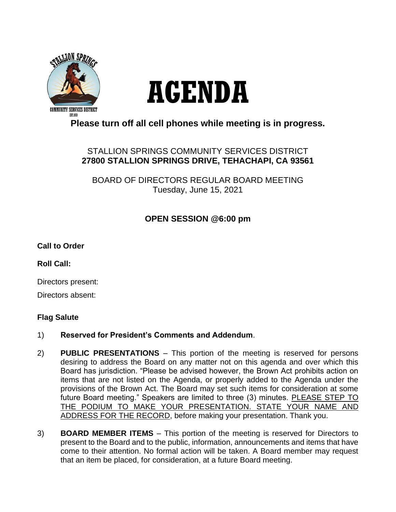

# **AGENDA**

# **Please turn off all cell phones while meeting is in progress.**

### STALLION SPRINGS COMMUNITY SERVICES DISTRICT **27800 STALLION SPRINGS DRIVE, TEHACHAPI, CA 93561**

BOARD OF DIRECTORS REGULAR BOARD MEETING Tuesday, June 15, 2021

## **OPEN SESSION @6:00 pm**

#### **Call to Order**

**Roll Call:**

Directors present:

Directors absent:

#### **Flag Salute**

- 1) **Reserved for President's Comments and Addendum**.
- 2) **PUBLIC PRESENTATIONS** This portion of the meeting is reserved for persons desiring to address the Board on any matter not on this agenda and over which this Board has jurisdiction. "Please be advised however, the Brown Act prohibits action on items that are not listed on the Agenda, or properly added to the Agenda under the provisions of the Brown Act. The Board may set such items for consideration at some future Board meeting." Speakers are limited to three (3) minutes. PLEASE STEP TO THE PODIUM TO MAKE YOUR PRESENTATION. STATE YOUR NAME AND ADDRESS FOR THE RECORD, before making your presentation. Thank you.
- 3) **BOARD MEMBER ITEMS** This portion of the meeting is reserved for Directors to present to the Board and to the public, information, announcements and items that have come to their attention. No formal action will be taken. A Board member may request that an item be placed, for consideration, at a future Board meeting.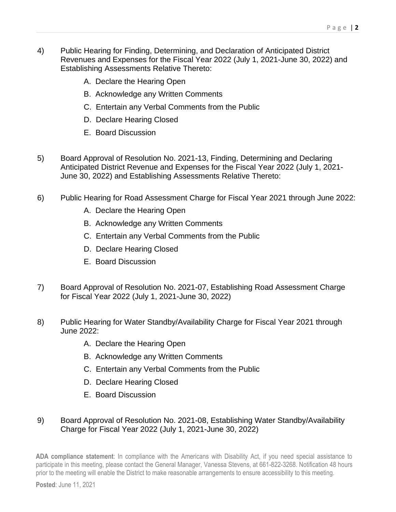- 4) Public Hearing for Finding, Determining, and Declaration of Anticipated District Revenues and Expenses for the Fiscal Year 2022 (July 1, 2021-June 30, 2022) and Establishing Assessments Relative Thereto:
	- A. Declare the Hearing Open
	- B. Acknowledge any Written Comments
	- C. Entertain any Verbal Comments from the Public
	- D. Declare Hearing Closed
	- E. Board Discussion
- 5) Board Approval of Resolution No. 2021-13, Finding, Determining and Declaring Anticipated District Revenue and Expenses for the Fiscal Year 2022 (July 1, 2021- June 30, 2022) and Establishing Assessments Relative Thereto:
- 6) Public Hearing for Road Assessment Charge for Fiscal Year 2021 through June 2022:
	- A. Declare the Hearing Open
	- B. Acknowledge any Written Comments
	- C. Entertain any Verbal Comments from the Public
	- D. Declare Hearing Closed
	- E. Board Discussion
- 7) Board Approval of Resolution No. 2021-07, Establishing Road Assessment Charge for Fiscal Year 2022 (July 1, 2021-June 30, 2022)
- 8) Public Hearing for Water Standby/Availability Charge for Fiscal Year 2021 through June 2022:
	- A. Declare the Hearing Open
	- B. Acknowledge any Written Comments
	- C. Entertain any Verbal Comments from the Public
	- D. Declare Hearing Closed
	- E. Board Discussion

#### 9) Board Approval of Resolution No. 2021-08, Establishing Water Standby/Availability Charge for Fiscal Year 2022 (July 1, 2021-June 30, 2022)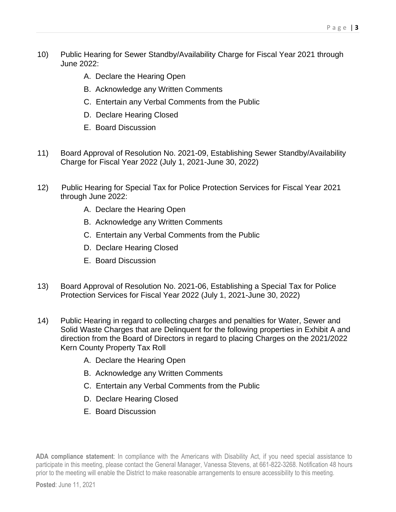- 10) Public Hearing for Sewer Standby/Availability Charge for Fiscal Year 2021 through June 2022:
	- A. Declare the Hearing Open
	- B. Acknowledge any Written Comments
	- C. Entertain any Verbal Comments from the Public
	- D. Declare Hearing Closed
	- E. Board Discussion
- 11) Board Approval of Resolution No. 2021-09, Establishing Sewer Standby/Availability Charge for Fiscal Year 2022 (July 1, 2021-June 30, 2022)
- 12) Public Hearing for Special Tax for Police Protection Services for Fiscal Year 2021 through June 2022:
	- A. Declare the Hearing Open
	- B. Acknowledge any Written Comments
	- C. Entertain any Verbal Comments from the Public
	- D. Declare Hearing Closed
	- E. Board Discussion
- 13) Board Approval of Resolution No. 2021-06, Establishing a Special Tax for Police Protection Services for Fiscal Year 2022 (July 1, 2021-June 30, 2022)
- 14) Public Hearing in regard to collecting charges and penalties for Water, Sewer and Solid Waste Charges that are Delinquent for the following properties in Exhibit A and direction from the Board of Directors in regard to placing Charges on the 2021/2022 Kern County Property Tax Roll
	- A. Declare the Hearing Open
	- B. Acknowledge any Written Comments
	- C. Entertain any Verbal Comments from the Public
	- D. Declare Hearing Closed
	- E. Board Discussion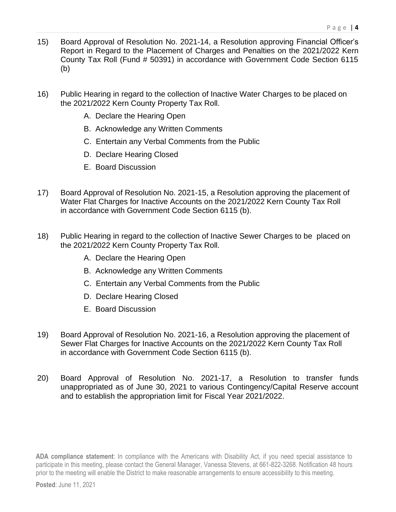- 15) Board Approval of Resolution No. 2021-14, a Resolution approving Financial Officer's Report in Regard to the Placement of Charges and Penalties on the 2021/2022 Kern County Tax Roll (Fund # 50391) in accordance with Government Code Section 6115 (b)
- 16) Public Hearing in regard to the collection of Inactive Water Charges to be placed on the 2021/2022 Kern County Property Tax Roll.
	- A. Declare the Hearing Open
	- B. Acknowledge any Written Comments
	- C. Entertain any Verbal Comments from the Public
	- D. Declare Hearing Closed
	- E. Board Discussion
- 17) Board Approval of Resolution No. 2021-15, a Resolution approving the placement of Water Flat Charges for Inactive Accounts on the 2021/2022 Kern County Tax Roll in accordance with Government Code Section 6115 (b).
- 18) Public Hearing in regard to the collection of Inactive Sewer Charges to be placed on the 2021/2022 Kern County Property Tax Roll.
	- A. Declare the Hearing Open
	- B. Acknowledge any Written Comments
	- C. Entertain any Verbal Comments from the Public
	- D. Declare Hearing Closed
	- E. Board Discussion
- 19) Board Approval of Resolution No. 2021-16, a Resolution approving the placement of Sewer Flat Charges for Inactive Accounts on the 2021/2022 Kern County Tax Roll in accordance with Government Code Section 6115 (b).
- 20) Board Approval of Resolution No. 2021-17, a Resolution to transfer funds unappropriated as of June 30, 2021 to various Contingency/Capital Reserve account and to establish the appropriation limit for Fiscal Year 2021/2022.